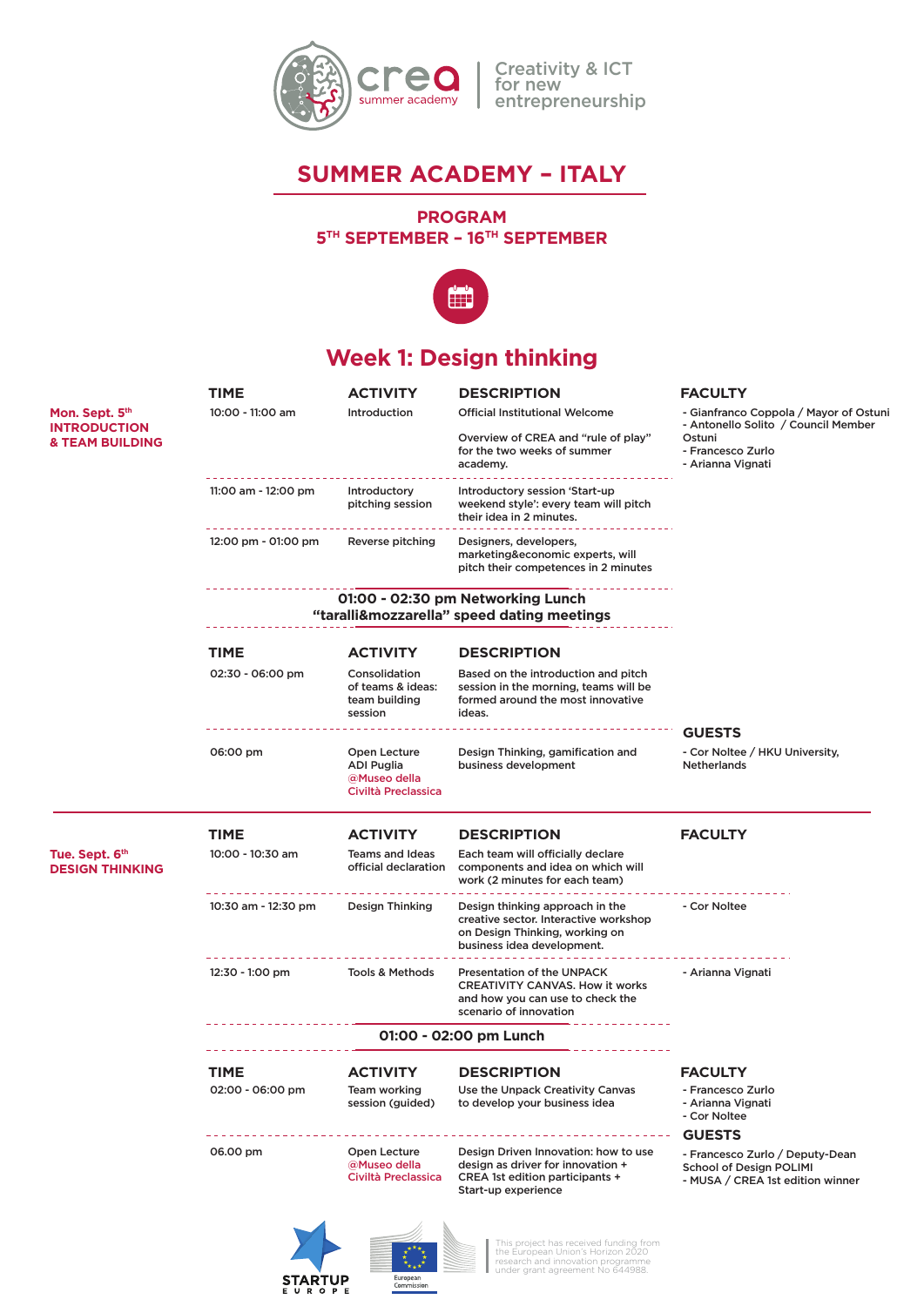

Creativity & ICT for new entrepreneurship

## **SUMMER ACADEMY – ITALY**

#### **PROGRAM 5TH SEPTEMBER – 16TH SEPTEMBER**



# **Week 1: Design thinking**

|                                                                     | TIME                                       | ACTIVITY                                                          | <b>DESCRIPTION</b>                                                                                                                        | <b>FACULTY</b>                                                                                        |
|---------------------------------------------------------------------|--------------------------------------------|-------------------------------------------------------------------|-------------------------------------------------------------------------------------------------------------------------------------------|-------------------------------------------------------------------------------------------------------|
| Mon. Sept. 5th<br><b>INTRODUCTION</b><br><b>&amp; TEAM BUILDING</b> | 10:00 - 11:00 am                           | Introduction                                                      | <b>Official Institutional Welcome</b>                                                                                                     | - Gianfranco Coppola / Mayor of Ostun<br>- Antonello Solito / Council Member                          |
|                                                                     |                                            |                                                                   | Overview of CREA and "rule of play"<br>for the two weeks of summer<br>academy.                                                            | Ostuni<br>- Francesco Zurlo<br>- Arianna Vignati                                                      |
|                                                                     | 11:00 am - 12:00 pm                        | Introductory<br>pitching session                                  | Introductory session 'Start-up<br>weekend style': every team will pitch<br>their idea in 2 minutes.                                       |                                                                                                       |
|                                                                     | 12:00 pm - 01:00 pm                        | Reverse pitching                                                  | Designers, developers,<br>marketing&economic experts, will<br>pitch their competences in 2 minutes                                        |                                                                                                       |
|                                                                     | "taralli&mozzarella" speed dating meetings |                                                                   |                                                                                                                                           |                                                                                                       |
|                                                                     | <b>TIME</b>                                | <b>ACTIVITY</b>                                                   | <b>DESCRIPTION</b>                                                                                                                        |                                                                                                       |
|                                                                     | 02:30 - 06:00 pm                           | Consolidation<br>of teams & ideas:<br>team building<br>session    | Based on the introduction and pitch<br>session in the morning, teams will be<br>formed around the most innovative<br>ideas.               |                                                                                                       |
|                                                                     |                                            |                                                                   |                                                                                                                                           | <b>GUESTS</b>                                                                                         |
|                                                                     | 06:00 pm                                   | Open Lecture<br>ADI Puglia<br>@Museo della<br>Civiltà Preclassica | Design Thinking, gamification and<br>business development                                                                                 | - Cor Noltee / HKU University,<br>Netherlands                                                         |
|                                                                     | <b>TIME</b>                                | <b>ACTIVITY</b>                                                   | <b>DESCRIPTION</b>                                                                                                                        | <b>FACULTY</b>                                                                                        |
| Tue. Sept. 6th<br><b>DESIGN THINKING</b>                            | 10:00 - 10:30 am                           | <b>Teams and Ideas</b><br>official declaration                    | Each team will officially declare<br>components and idea on which will<br>work (2 minutes for each team)                                  |                                                                                                       |
|                                                                     | 10:30 am - 12:30 pm                        | Design Thinking                                                   | Design thinking approach in the<br>creative sector. Interactive workshop<br>on Design Thinking, working on<br>business idea development.  | - Cor Noltee                                                                                          |
|                                                                     | 12:30 - 1:00 pm                            | Tools & Methods                                                   | <b>Presentation of the UNPACK</b><br><b>CREATIVITY CANVAS. How it works</b><br>and how you can use to check the<br>scenario of innovation | - Arianna Vignati                                                                                     |
|                                                                     |                                            |                                                                   |                                                                                                                                           |                                                                                                       |
|                                                                     | TIME                                       | <b>ACTIVITY</b>                                                   | <b>DESCRIPTION</b>                                                                                                                        | <b>FACULTY</b>                                                                                        |
|                                                                     | 02:00 - 06:00 pm                           | <b>Team working</b><br>session (guided)                           | Use the Unpack Creativity Canvas<br>to develop your business idea                                                                         | - Francesco Zurlo<br>- Arianna Vignati<br>- Cor Noltee                                                |
|                                                                     |                                            |                                                                   |                                                                                                                                           | <b>GUESTS</b>                                                                                         |
|                                                                     | 06.00 pm                                   | Open Lecture<br>@Museo della<br>Civiltà Preclassica               | Design Driven Innovation: how to use<br>design as driver for innovation +<br>CREA 1st edition participants +<br>Start-up experience       | - Francesco Zurlo / Deputy-Dean<br><b>School of Design POLIMI</b><br>- MUSA / CREA 1st edition winner |

**STARTUP** 

European<br>Commission

This project has received funding from the European Union's Horizon 2020 research and innovation programme under grant agreement No 644988.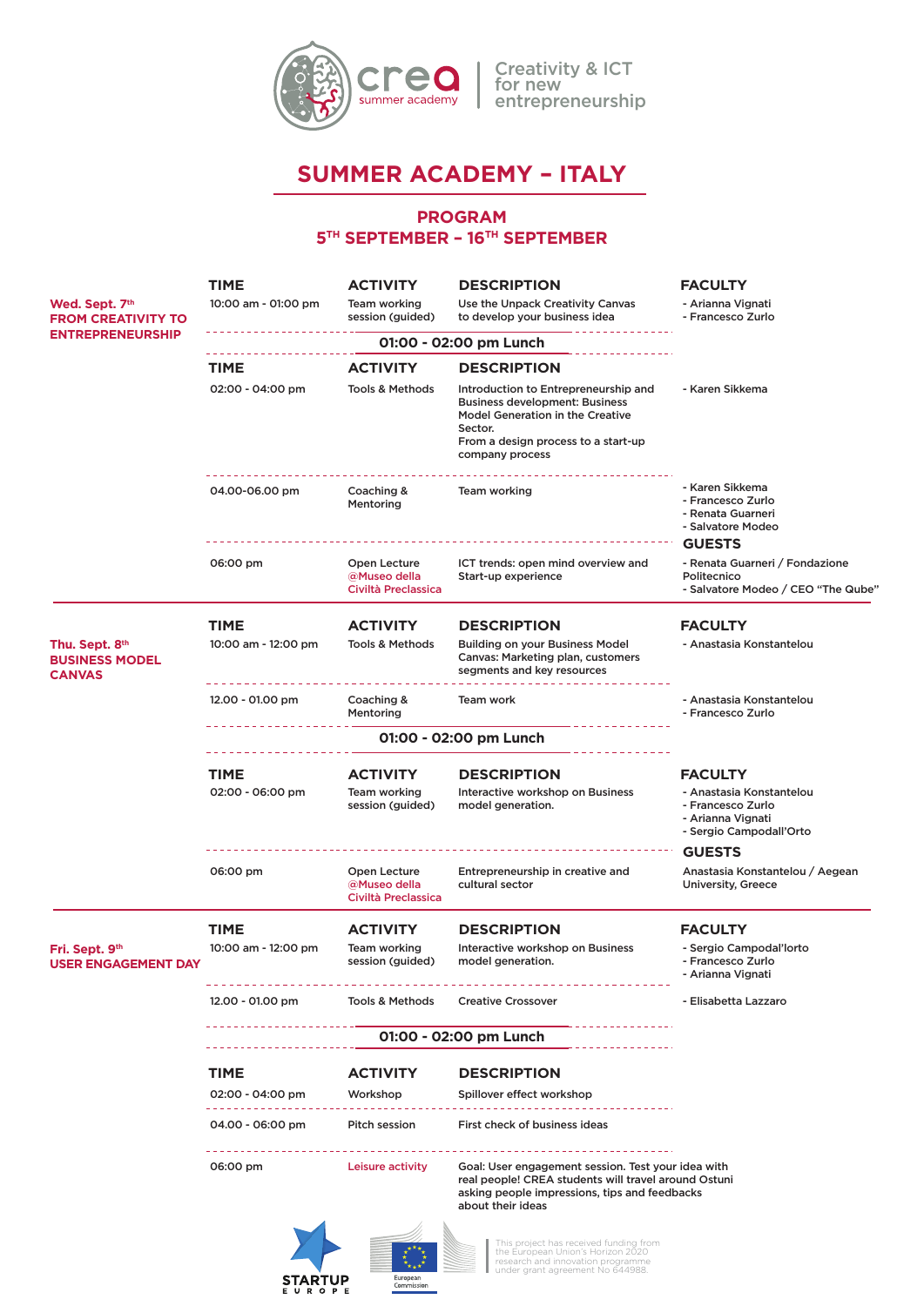

## **SUMMER ACADEMY – ITALY**

#### **PROGRAM 5TH SEPTEMBER – 16TH SEPTEMBER**



**STARTUP**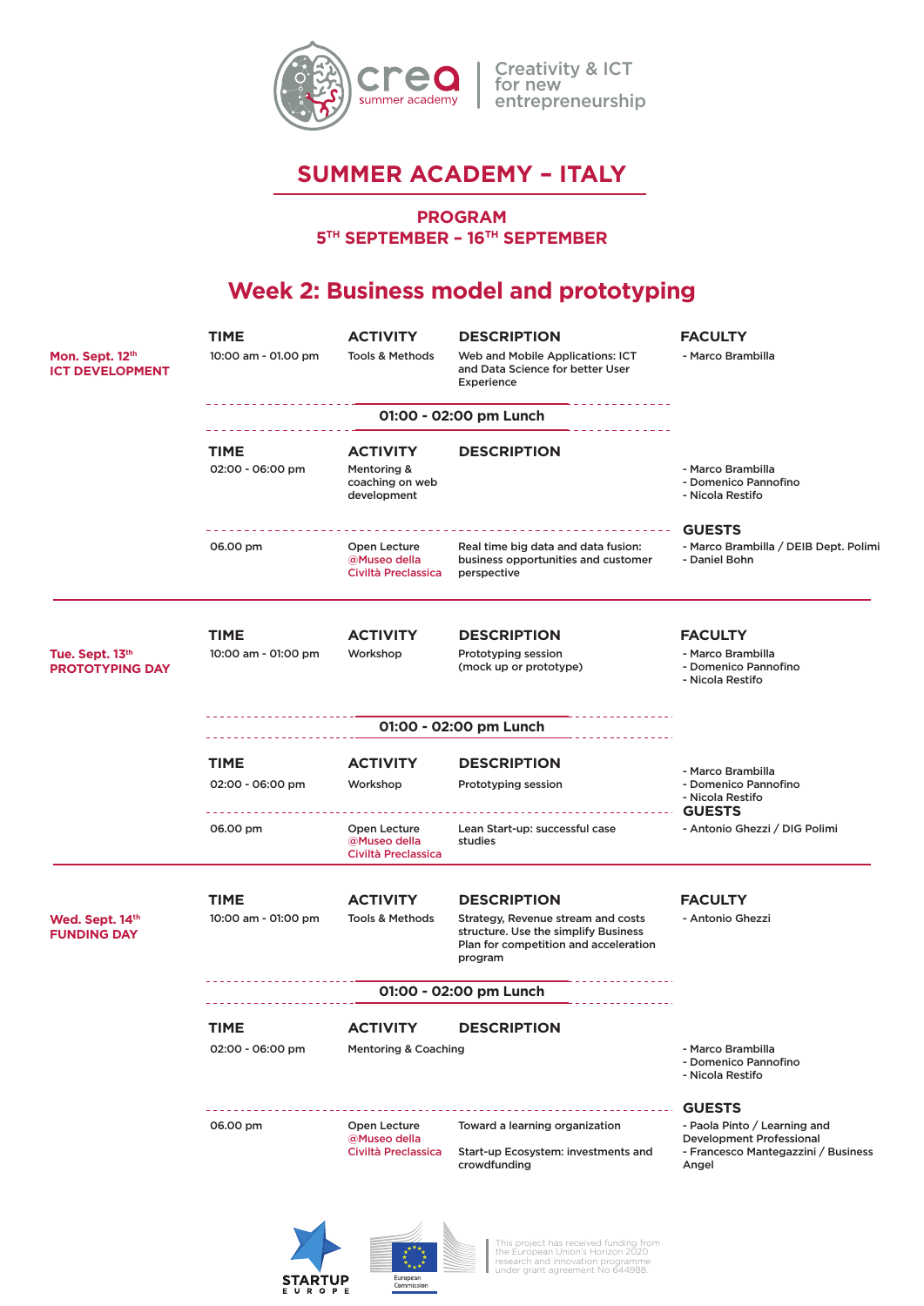

## **SUMMER ACADEMY – ITALY**

#### **PROGRAM**

**5TH SEPTEMBER – 16TH SEPTEMBER**

# **Week 2: Business model and prototyping**

|                                           | <b>TIME</b>                     | ACTIVITY                                                         | <b>DESCRIPTION</b>                                                                                                                                  | <b>FACULTY</b>                                                                                                                   |
|-------------------------------------------|---------------------------------|------------------------------------------------------------------|-----------------------------------------------------------------------------------------------------------------------------------------------------|----------------------------------------------------------------------------------------------------------------------------------|
| Mon. Sept. 12th<br><b>ICT DEVELOPMENT</b> | 10:00 am - 01.00 pm             | <b>Tools &amp; Methods</b>                                       | Web and Mobile Applications: ICT<br>and Data Science for better User<br>Experience                                                                  | - Marco Brambilla                                                                                                                |
|                                           |                                 |                                                                  |                                                                                                                                                     |                                                                                                                                  |
|                                           | <b>TIME</b><br>02:00 - 06:00 pm | <b>ACTIVITY</b><br>Mentoring &<br>coaching on web<br>development | <b>DESCRIPTION</b>                                                                                                                                  | - Marco Brambilla<br>- Domenico Pannofino<br>- Nicola Restifo                                                                    |
|                                           |                                 |                                                                  |                                                                                                                                                     | <b>GUESTS</b>                                                                                                                    |
|                                           | 06.00 pm                        | Open Lecture<br>@Museo della<br>Civiltà Preclassica              | Real time big data and data fusion:<br>business opportunities and customer<br>perspective                                                           | - Marco Brambilla / DEIB Dept. Polimi<br>- Daniel Bohn                                                                           |
|                                           | TIME                            | <b>ACTIVITY</b>                                                  | <b>DESCRIPTION</b>                                                                                                                                  | <b>FACULTY</b>                                                                                                                   |
| Tue. Sept. 13th<br><b>PROTOTYPING DAY</b> | 10:00 am - 01:00 pm             | Workshop                                                         | Prototyping session<br>(mock up or prototype)                                                                                                       | - Marco Brambilla<br>- Domenico Pannofino<br>- Nicola Restifo                                                                    |
|                                           |                                 |                                                                  | 01:00 - 02:00 pm Lunch                                                                                                                              |                                                                                                                                  |
|                                           | <b>TIME</b>                     | <b>ACTIVITY</b>                                                  | <b>DESCRIPTION</b>                                                                                                                                  |                                                                                                                                  |
|                                           | 02:00 - 06:00 pm                | Workshop                                                         | Prototyping session                                                                                                                                 | - Marco Brambilla<br>- Domenico Pannofino<br>- Nicola Restifo<br><b>GUESTS</b>                                                   |
|                                           | 06.00 pm                        | Open Lecture<br>@Museo della<br>Civiltà Preclassica              | Lean Start-up: successful case<br>studies                                                                                                           | - Antonio Ghezzi / DIG Polimi                                                                                                    |
|                                           | <b>TIME</b>                     | <b>ACTIVITY</b>                                                  | <b>DESCRIPTION</b>                                                                                                                                  | <b>FACULTY</b>                                                                                                                   |
| Wed. Sept. 14th<br><b>FUNDING DAY</b>     | 10:00 am - 01:00 pm             | <b>Tools &amp; Methods</b>                                       | Strategy, Revenue stream and costs<br>structure. Use the simplify Business<br>Plan for competition and acceleration<br>program                      | - Antonio Ghezzi                                                                                                                 |
|                                           | 01:00 - 02:00 pm Lunch          |                                                                  |                                                                                                                                                     |                                                                                                                                  |
|                                           | <b>TIME</b>                     | ACTIVITY                                                         | <b>DESCRIPTION</b>                                                                                                                                  |                                                                                                                                  |
|                                           | 02:00 - 06:00 pm                | <b>Mentoring &amp; Coaching</b>                                  |                                                                                                                                                     | - Marco Brambilla<br>- Domenico Pannofino<br>- Nicola Restifo                                                                    |
|                                           | 06.00 pm                        | Open Lecture<br>@Museo della<br>Civiltà Preclassica              | Toward a learning organization<br>Start-up Ecosystem: investments and<br>crowdfunding                                                               | <b>GUESTS</b><br>- Paola Pinto / Learning and<br><b>Development Professional</b><br>- Francesco Mantegazzini / Business<br>Angel |
|                                           |                                 |                                                                  | This project has received funding from<br>the European Union's Horizon 2020<br>research and innovation programme<br>under grant agreement No 644988 |                                                                                                                                  |

European<br>Commission

**STARTUP**